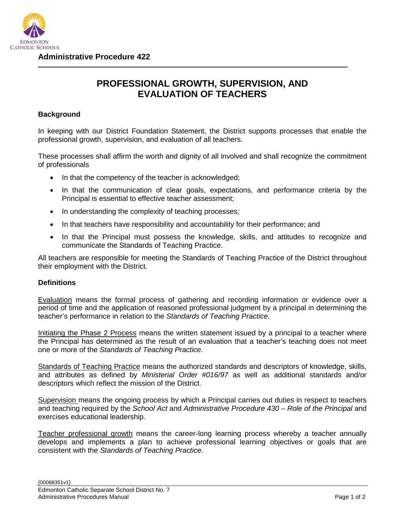

## **PROFESSIONAL GROWTH, SUPERVISION, AND EVALUATION OF TEACHERS**

## **Background**

In keeping with our District Foundation Statement, the District supports processes that enable the professional growth, supervision, and evaluation of all teachers.

These processes shall affirm the worth and dignity of all involved and shall recognize the commitment of professionals

- In that the competency of the teacher is acknowledged;
- In that the communication of clear goals, expectations, and performance criteria by the Principal is essential to effective teacher assessment;
- In understanding the complexity of teaching processes;
- In that teachers have responsibility and accountability for their performance; and
- In that the Principal must possess the knowledge, skills, and attitudes to recognize and communicate the Standards of Teaching Practice.

All teachers are responsible for meeting the Standards of Teaching Practice of the District throughout their employment with the District.

## **Definitions**

Evaluation means the formal process of gathering and recording information or evidence over a period of time and the application of reasoned professional judgment by a principal in determining the teacher's performance in relation to the *Standards of Teaching Practice*.

Initiating the Phase 2 Process means the written statement issued by a principal to a teacher where the Principal has determined as the result of an evaluation that a teacher's teaching does not meet one or more of the *Standards of Teaching Practice*.

Standards of Teaching Practice means the authorized standards and descriptors of knowledge, skills, and attributes as defined by *Ministerial Order #016/97* as well as additional standards and/or descriptors which reflect the mission of the District.

Supervision means the ongoing process by which a Principal carries out duties in respect to teachers and teaching required by the *School Act* and *Administrative Procedure 430 – Role of the Principal* and exercises educational leadership.

Teacher professional growth means the career-long learning process whereby a teacher annually develops and implements a plan to achieve professional learning objectives or goals that are consistent with the *Standards of Teaching Practice*.

{00068351v1}